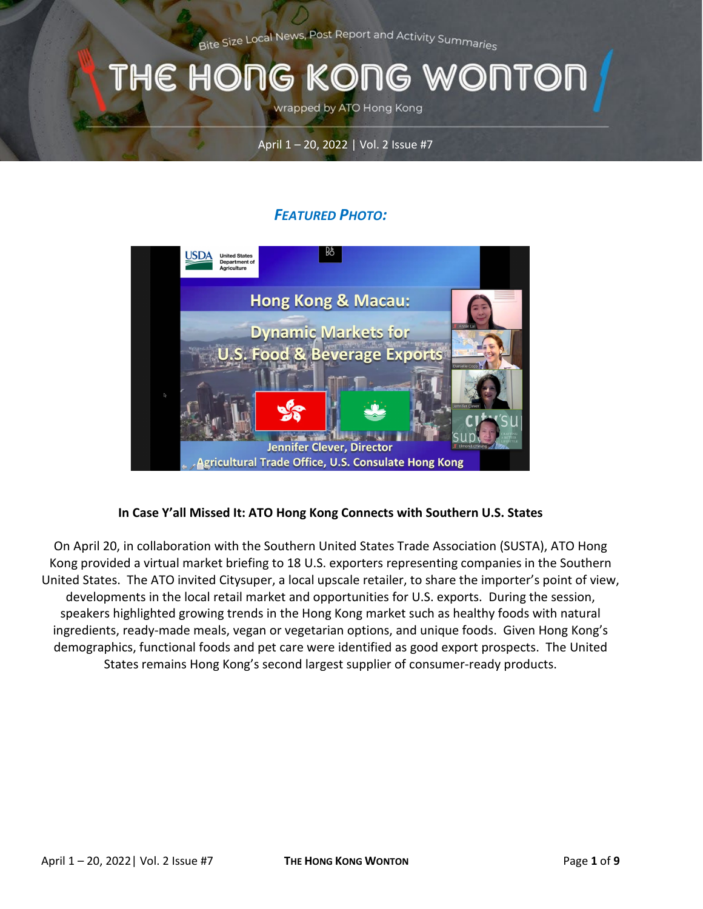Bite Size Local News, Post Report and Activity Summarie<sub>s</sub>

### THE HONG KONG WONTOI

wrapped by ATO Hong Kong

#### April 1 – 20, 2022 | Vol. 2 Issue #7

### *FEATURED PHOTO:*



#### **In Case Y'all Missed It: ATO Hong Kong Connects with Southern U.S. States**

On April 20, in collaboration with the Southern United States Trade Association (SUSTA), ATO Hong Kong provided a virtual market briefing to 18 U.S. exporters representing companies in the Southern United States. The ATO invited Citysuper, a local upscale retailer, to share the importer's point of view, developments in the local retail market and opportunities for U.S. exports. During the session, speakers highlighted growing trends in the Hong Kong market such as healthy foods with natural ingredients, ready-made meals, vegan or vegetarian options, and unique foods. Given Hong Kong's demographics, functional foods and pet care were identified as good export prospects. The United States remains Hong Kong's second largest supplier of consumer-ready products.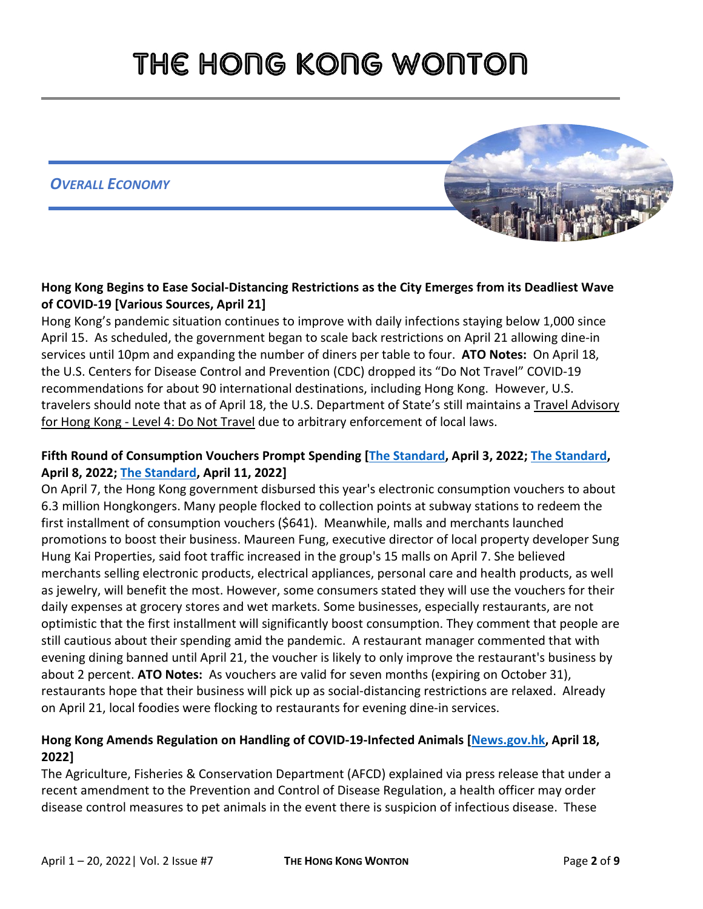*OVERALL ECONOMY*



#### **Hong Kong Begins to Ease Social-Distancing Restrictions as the City Emerges from its Deadliest Wave of COVID-19 [Various Sources, April 21]**

Hong Kong's pandemic situation continues to improve with daily infections staying below 1,000 since April 15. As scheduled, the government began to scale back restrictions on April 21 allowing dine-in services until 10pm and expanding the number of diners per table to four. **ATO Notes:** On April 18, the U.S. Centers for Disease Control and Prevention (CDC) dropped its "Do Not Travel" COVID-19 recommendations for about 90 international destinations, including Hong Kong. However, U.S. travelers should note that as of April 18, the U.S. Department of State's still maintains a [Travel Advisory](https://travel.state.gov/content/travel/en/international-travel/International-Travel-Country-Information-Pages/HongKong.html)  for Hong Kong - [Level 4: Do Not Travel](https://travel.state.gov/content/travel/en/international-travel/International-Travel-Country-Information-Pages/HongKong.html) due to arbitrary enforcement of local laws.

### **Fifth Round of Consumption Vouchers Prompt Spending [\[The Standard,](https://www.thestandard.com.hk/breaking-news/section/4/188817/About-6.3-million-Hongkongers-to-receive-consumption-vouchers-on-April-7) April 3, 2022; [The Standard,](https://www.thestandard.com.hk/section-news/section/11/240614/Merchants-counting-on-itch-to-spend) April 8, 2022; [The Standard,](https://www.thestandard.com.hk/section-news/section/11/240658/Gadgets-for-youngsters-and-dim-sum-for-elderly) April 11, 2022]**

On April 7, the Hong Kong government disbursed this year's electronic consumption vouchers to about 6.3 million Hongkongers. Many people flocked to collection points at subway stations to redeem the first installment of consumption vouchers (\$641). Meanwhile, malls and merchants launched promotions to boost their business. Maureen Fung, executive director of local property developer Sung Hung Kai Properties, said foot traffic increased in the group's 15 malls on April 7. She believed merchants selling electronic products, electrical appliances, personal care and health products, as well as jewelry, will benefit the most. However, some consumers stated they will use the vouchers for their daily expenses at grocery stores and wet markets. Some businesses, especially restaurants, are not optimistic that the first installment will significantly boost consumption. They comment that people are still cautious about their spending amid the pandemic. A restaurant manager commented that with evening dining banned until April 21, the voucher is likely to only improve the restaurant's business by about 2 percent. **ATO Notes:** As vouchers are valid for seven months (expiring on October 31), restaurants hope that their business will pick up as social-distancing restrictions are relaxed. Already on April 21, local foodies were flocking to restaurants for evening dine-in services.

#### **Hong Kong Amends Regulation on Handling of COVID-19-Infected Animals [\[News.gov.hk,](https://www.news.gov.hk/eng/2022/04/20220418/20220418_173409_347.html) April 18, 2022]**

The Agriculture, Fisheries & Conservation Department (AFCD) explained via press release that under a recent amendment to the Prevention and Control of Disease Regulation, a health officer may order disease control measures to pet animals in the event there is suspicion of infectious disease. These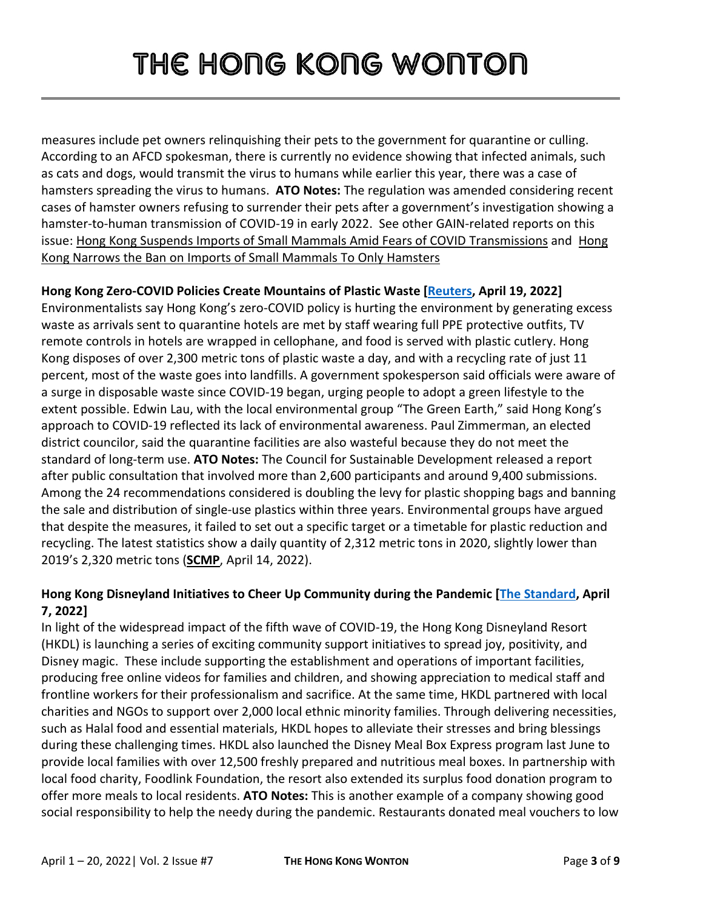measures include pet owners relinquishing their pets to the government for quarantine or culling. According to an AFCD spokesman, there is currently no evidence showing that infected animals, such as cats and dogs, would transmit the virus to humans while earlier this year, there was a case of hamsters spreading the virus to humans. **ATO Notes:** The regulation was amended considering recent cases of hamster owners refusing to surrender their pets after a government's investigation showing a hamster-to-human transmission of COVID-19 in early 2022. See other GAIN-related reports on this issue: [Hong Kong Suspends Imports of Small Mammals Amid Fears of COVID Transmissions](https://www.fas.usda.gov/data/hong-kong-hong-kong-suspends-imports-small-mammals-amid-fears-covid-transmissions) and [Hong](https://www.fas.usda.gov/data/hong-kong-hong-kong-narrows-ban-imports-small-mammals-only-hamsters)  [Kong Narrows the Ban on Imports of Small Mammals To Only Hamsters](https://www.fas.usda.gov/data/hong-kong-hong-kong-narrows-ban-imports-small-mammals-only-hamsters)

#### **Hong Kong Zero-COVID Policies Create Mountains of Plastic Waste [\[Reuters,](https://www.reuters.com/world/asia-pacific/hong-kong-zero-covid-policies-create-mountains-plastic-waste-2022-04-19/) April 19, 2022]**

Environmentalists say Hong Kong's zero-COVID policy is hurting the environment by generating excess waste as arrivals sent to quarantine hotels are met by staff wearing full PPE protective outfits, TV remote controls in hotels are wrapped in cellophane, and food is served with plastic cutlery. Hong Kong disposes of over 2,300 metric tons of plastic waste a day, and with a recycling rate of just 11 percent, most of the waste goes into landfills. A government spokesperson said officials were aware of a surge in disposable waste since COVID-19 began, urging people to adopt a green lifestyle to the extent possible. Edwin Lau, with the local environmental group "The Green Earth," said Hong Kong's approach to COVID-19 reflected its lack of environmental awareness. Paul Zimmerman, an elected district councilor, said the quarantine facilities are also wasteful because they do not meet the standard of long-term use. **ATO Notes:** The Council for Sustainable Development released a report after public consultation that involved more than 2,600 participants and around 9,400 submissions. Among the 24 recommendations considered is doubling the levy for plastic shopping bags and banning the sale and distribution of single-use plastics within three years. Environmental groups have argued that despite the measures, it failed to set out a specific target or a timetable for plastic reduction and recycling. The latest statistics show a daily quantity of 2,312 metric tons in 2020, slightly lower than 2019's 2,320 metric tons (**[SCMP](https://www.scmp.com/news/hong-kong/health-environment/article/3174324/hong-kongs-throwaway-culture-plastic-waste)**, April 14, 2022).

### **Hong Kong Disneyland Initiatives to Cheer Up Community during the Pandemic [\[The Standard,](https://www.thestandard.com.hk/breaking-news/section/4/188887/Hong-Kong-Disneyland-Resort-creates-magic-online-to-power-up-the-community-during-the-pandemic) April 7, 2022]**

In light of the widespread impact of the fifth wave of COVID-19, the Hong Kong Disneyland Resort (HKDL) is launching a series of exciting community support initiatives to spread joy, positivity, and Disney magic. These include supporting the establishment and operations of important facilities, producing free online videos for families and children, and showing appreciation to medical staff and frontline workers for their professionalism and sacrifice. At the same time, HKDL partnered with local charities and NGOs to support over 2,000 local ethnic minority families. Through delivering necessities, such as Halal food and essential materials, HKDL hopes to alleviate their stresses and bring blessings during these challenging times. HKDL also launched the Disney Meal Box Express program last June to provide local families with over 12,500 freshly prepared and nutritious meal boxes. In partnership with local food charity, Foodlink Foundation, the resort also extended its surplus food donation program to offer more meals to local residents. **ATO Notes:** This is another example of a company showing good social responsibility to help the needy during the pandemic. Restaurants donated meal vouchers to low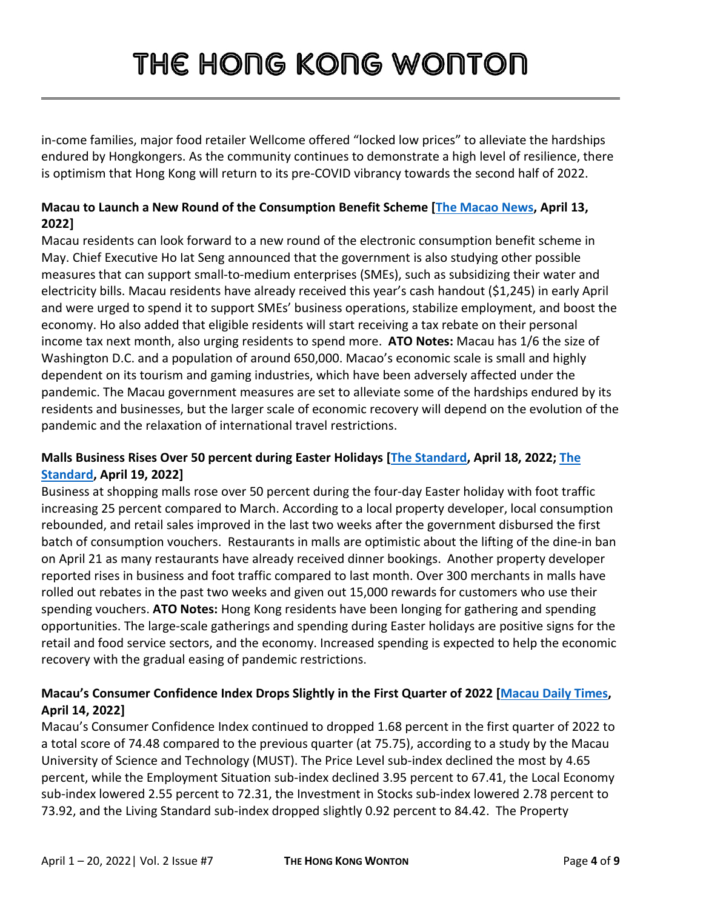in-come families, major food retailer Wellcome offered "locked low prices" to alleviate the hardships endured by Hongkongers. As the community continues to demonstrate a high level of resilience, there is optimism that Hong Kong will return to its pre-COVID vibrancy towards the second half of 2022.

### **Macau to Launch a New Round of the Consumption Benefit Scheme [\[The Macao News,](https://macaonews.org/economy/new-round-of-consumption-benefit-scheme-launches-next-month/) April 13, 2022]**

Macau residents can look forward to a new round of the electronic consumption benefit scheme in May. Chief Executive Ho Iat Seng announced that the government is also studying other possible measures that can support small-to-medium enterprises (SMEs), such as subsidizing their water and electricity bills. Macau residents have already received this year's cash handout (\$1,245) in early April and were urged to spend it to support SMEs' business operations, stabilize employment, and boost the economy. Ho also added that eligible residents will start receiving a tax rebate on their personal income tax next month, also urging residents to spend more. **ATO Notes:** Macau has 1/6 the size of Washington D.C. and a population of around 650,000. Macao's economic scale is small and highly dependent on its tourism and gaming industries, which have been adversely affected under the pandemic. The Macau government measures are set to alleviate some of the hardships endured by its residents and businesses, but the larger scale of economic recovery will depend on the evolution of the pandemic and the relaxation of international travel restrictions.

### **Malls Business Rises Over 50 percent during Easter Holidays [\[The Standard,](https://www.thestandard.com.hk/breaking-news/section/4/189267/Shopping-malls-saw-over-50-percent-rise-in-business-during-Easter-holiday) April 18, 2022; [The](https://www.thestandard.com.hk/section-news/section/11/240897/Easter-revival-stokes-hopes-of-malls,-shops-after-pandemic)  [Standard,](https://www.thestandard.com.hk/section-news/section/11/240897/Easter-revival-stokes-hopes-of-malls,-shops-after-pandemic) April 19, 2022]**

Business at shopping malls rose over 50 percent during the four-day Easter holiday with foot traffic increasing 25 percent compared to March. According to a local property developer, local consumption rebounded, and retail sales improved in the last two weeks after the government disbursed the first batch of consumption vouchers. Restaurants in malls are optimistic about the lifting of the dine-in ban on April 21 as many restaurants have already received dinner bookings. Another property developer reported rises in business and foot traffic compared to last month. Over 300 merchants in malls have rolled out rebates in the past two weeks and given out 15,000 rewards for customers who use their spending vouchers. **ATO Notes:** Hong Kong residents have been longing for gathering and spending opportunities. The large-scale gatherings and spending during Easter holidays are positive signs for the retail and food service sectors, and the economy. Increased spending is expected to help the economic recovery with the gradual easing of pandemic restrictions.

#### **Macau's Consumer Confidence Index Drops Slightly in the First Quarter of 2022 [\[Macau Daily Times,](https://macaudailytimes.com.mo/153155.html) April 14, 2022]**

Macau's Consumer Confidence Index continued to dropped 1.68 percent in the first quarter of 2022 to a total score of 74.48 compared to the previous quarter (at 75.75), according to a study by the Macau University of Science and Technology (MUST). The Price Level sub-index declined the most by 4.65 percent, while the Employment Situation sub-index declined 3.95 percent to 67.41, the Local Economy sub-index lowered 2.55 percent to 72.31, the Investment in Stocks sub-index lowered 2.78 percent to 73.92, and the Living Standard sub-index dropped slightly 0.92 percent to 84.42. The Property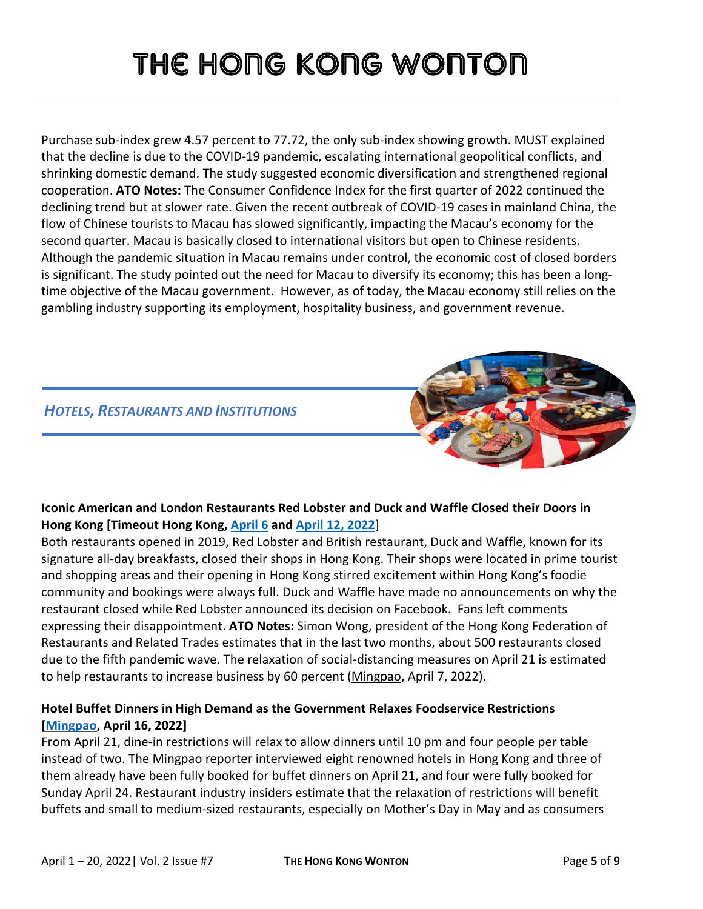Purchase sub-index grew 4.57 percent to 77.72, the only sub-index showing growth. MUST explained that the decline is due to the COVID-19 pandemic, escalating international geopolitical conflicts, and shrinking domestic demand. The study suggested economic diversification and strengthened regional cooperation. **ATO Notes:** The Consumer Confidence Index for the first quarter of 2022 continued the declining trend but at slower rate. Given the recent outbreak of COVID-19 cases in mainland China, the flow of Chinese tourists to Macau has slowed significantly, impacting the Macau's economy for the second quarter. Macau is basically closed to international visitors but open to Chinese residents. Although the pandemic situation in Macau remains under control, the economic cost of closed borders is significant. The study pointed out the need for Macau to diversify its economy; this has been a longtime objective of the Macau government. However, as of today, the Macau economy still relies on the gambling industry supporting its employment, hospitality business, and government revenue.

### *HOTELS, RESTAURANTS AND INSTITUTIONS*



### **Iconic American and London Restaurants Red Lobster and Duck and Waffle Closed their Doors in Hong Kong [Timeout Hong Kong, [April 6](https://www.timeout.com/hong-kong/news/red-lobster-hong-kong-permanently-closed-after-three-years-040622) and [April 12, 2022](https://www.timeout.com/hong-kong/news/hong-kongs-duck-waffle-has-officially-closed-041222)**]

Both restaurants opened in 2019, Red Lobster and British restaurant, Duck and Waffle, known for its signature all-day breakfasts, closed their shops in Hong Kong. Their shops were located in prime tourist and shopping areas and their opening in Hong Kong stirred excitement within Hong Kong's foodie community and bookings were always full. Duck and Waffle have made no announcements on why the restaurant closed while Red Lobster announced its decision on Facebook. Fans left comments expressing their disappointment. **ATO Notes:** Simon Wong, president of the Hong Kong Federation of Restaurants and Related Trades estimates that in the last two months, about 500 restaurants closed due to the fifth pandemic wave. The relaxation of social-distancing measures on April 21 is estimated to help restaurants to increase business by 60 percent [\(Mingpao,](https://news.mingpao.com/pns/%E6%B8%AF%E8%81%9E/article/20220407/s00002/1649267463038/%E3%80%8C%E6%9C%89%E9%A3%9F%E8%82%86%E6%8D%B1%E4%B8%8D%E5%88%B0%E6%94%BE%E5%AF%AC%E3%80%8D-%E6%A5%AD%E7%95%8C%E6%96%99%E5%85%A9%E6%9C%88500%E5%BA%97%E5%80%92%E9%96%89) April 7, 2022).

### **Hotel Buffet Dinners in High Demand as the Government Relaxes Foodservice Restrictions [\[Mingpao,](https://news.mingpao.com/pns/%E6%B8%AF%E8%81%9E/article/20220416/s00002/1650046306244/%E6%94%BE%E5%AF%AC%E6%97%A5%E8%87%AA%E5%8A%A9%E6%99%9A%E9%A4%90%E6%97%BA-%E6%9C%89%E9%85%92%E5%BA%9710%E5%A4%A9%E8%A8%82%E5%BA%A7%E5%85%A8%E6%BB%BF) April 16, 2022]**

From April 21, dine-in restrictions will relax to allow dinners until 10 pm and four people per table instead of two. The Mingpao reporter interviewed eight renowned hotels in Hong Kong and three of them already have been fully booked for buffet dinners on April 21, and four were fully booked for Sunday April 24. Restaurant industry insiders estimate that the relaxation of restrictions will benefit buffets and small to medium-sized restaurants, especially on Mother's Day in May and as consumers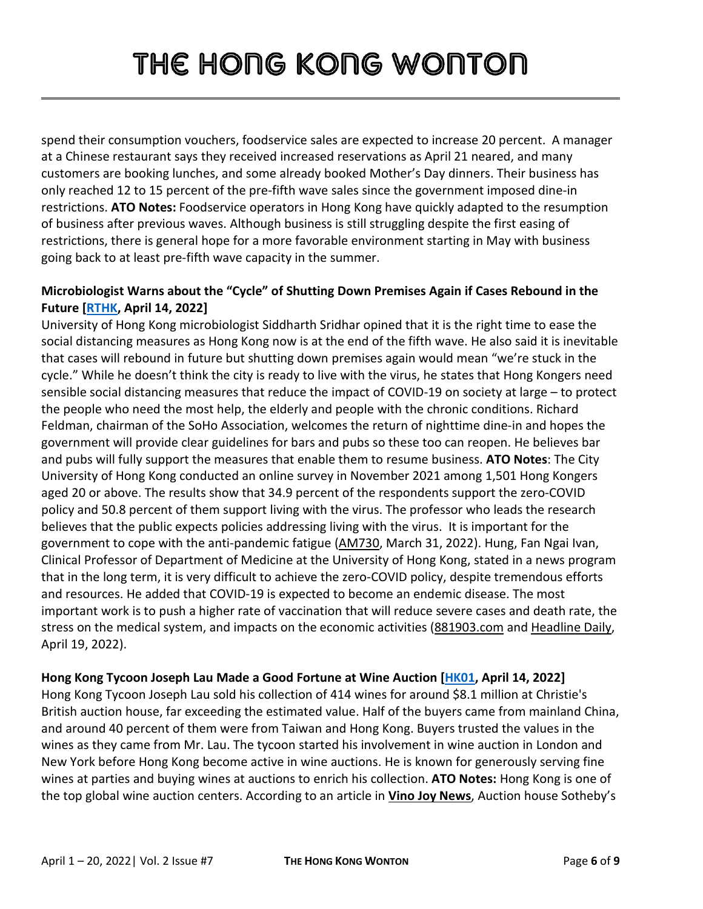spend their consumption vouchers, foodservice sales are expected to increase 20 percent. A manager at a Chinese restaurant says they received increased reservations as April 21 neared, and many customers are booking lunches, and some already booked Mother's Day dinners. Their business has only reached 12 to 15 percent of the pre-fifth wave sales since the government imposed dine-in restrictions. **ATO Notes:** Foodservice operators in Hong Kong have quickly adapted to the resumption of business after previous waves. Although business is still struggling despite the first easing of restrictions, there is general hope for a more favorable environment starting in May with business going back to at least pre-fifth wave capacity in the summer.

#### **Microbiologist Warns about the "Cycle" of Shutting Down Premises Again if Cases Rebound in the Future [\[RTHK,](https://news.rthk.hk/rthk/en/component/k2/1644020-20220414.htm) April 14, 2022]**

University of Hong Kong microbiologist Siddharth Sridhar opined that it is the right time to ease the social distancing measures as Hong Kong now is at the end of the fifth wave. He also said it is inevitable that cases will rebound in future but shutting down premises again would mean "we're stuck in the cycle." While he doesn't think the city is ready to live with the virus, he states that Hong Kongers need sensible social distancing measures that reduce the impact of COVID-19 on society at large – to protect the people who need the most help, the elderly and people with the chronic conditions. Richard Feldman, chairman of the SoHo Association, welcomes the return of nighttime dine-in and hopes the government will provide clear guidelines for bars and pubs so these too can reopen. He believes bar and pubs will fully support the measures that enable them to resume business. **ATO Notes**: The City University of Hong Kong conducted an online survey in November 2021 among 1,501 Hong Kongers aged 20 or above. The results show that 34.9 percent of the respondents support the zero-COVID policy and 50.8 percent of them support living with the virus. The professor who leads the research believes that the public expects policies addressing living with the virus. It is important for the government to cope with the anti-pandemic fatigue [\(AM730,](https://www.am730.com.hk/%E6%9C%AC%E5%9C%B0/%E7%96%AB%E6%83%85-%E5%9F%8E%E5%A4%A7%E8%AA%BF%E6%9F%A5-%E4%B8%8D%E8%B6%B3%E4%B8%89%E6%88%90%E5%8D%8A%E4%BA%BA%E6%94%AF%E6%8C%81-%E6%B8%85%E9%9B%B6-/313655) March 31, 2022). Hung, Fan Ngai Ivan, Clinical Professor of Department of Medicine at the University of Hong Kong, stated in a news program that in the long term, it is very difficult to achieve the zero-COVID policy, despite tremendous efforts and resources. He added that COVID-19 is expected to become an endemic disease. The most important work is to push a higher rate of vaccination that will reduce severe cases and death rate, the stress on the medical system, and impacts on the economic activities [\(881903.com](https://www.881903.com/news/local/2437148/%E5%AD%94%E7%B9%81%E6%AF%85%E5%AE%8C%E5%85%A8%E6%B8%85%E9%9B%B6%E9%9D%9E%E5%B8%B8%E5%9B%B0%E9%9B%A3-%E4%BD%86%E4%B8%8D%E4%BB%A3%E8%A1%A8%E8%88%87%E7%97%85%E6%AF%92%E5%85%B1%E5%AD%98) an[d Headline Daily,](https://hd.stheadline.com/news/realtime/hk/2329955/%E5%8D%B3%E6%99%82-%E6%B8%AF%E8%81%9E-%E5%AD%94%E7%B9%81%E6%AF%85-%E6%96%B0%E5%86%A0%E7%97%85%E6%AF%92-%E5%94%94%E6%9C%83%E6%95%B4%E5%BE%97%E8%B5%B0-%E6%83%9F%E4%B8%8D%E4%BB%A3%E8%A1%A8%E8%88%87%E7%97%85%E6%AF%92%E5%85%B1%E5%AD%98) April 19, 2022).

#### **Hong Kong Tycoon Joseph Lau Made a Good Fortune at Wine Auction [\[HK01,](https://www.hk01.com/%E8%B2%A1%E7%B6%93%E5%BF%AB%E8%A8%8A/759026/%E5%A4%A7%E5%8A%89%E6%8B%8D%E8%B3%A3%E4%BD%B3%E9%87%80%E5%8B%81%E8%B3%BA4%E5%80%8D-%E8%A9%B1%E7%95%B6%E5%B9%B4%E6%9C%8B%E5%8F%8B%E5%B0%88%E6%8F%80%E8%B2%B4%E9%85%92-%E7%95%B6%E6%B0%B4%E9%A3%B2-%E6%BA%AB%E5%A4%9A%E5%A8%9C) April 14, 2022]**

Hong Kong Tycoon Joseph Lau sold his collection of 414 wines for around \$8.1 million at Christie's British auction house, far exceeding the estimated value. Half of the buyers came from mainland China, and around 40 percent of them were from Taiwan and Hong Kong. Buyers trusted the values in the wines as they came from Mr. Lau. The tycoon started his involvement in wine auction in London and New York before Hong Kong become active in wine auctions. He is known for generously serving fine wines at parties and buying wines at auctions to enrich his collection. **ATO Notes:** Hong Kong is one of the top global wine auction centers. According to an article in **[Vino Joy News](https://vino-joy.com/2021/10/13/sothebys-wine-in-asia-reports-record-breaking-year/)**, Auction house Sotheby's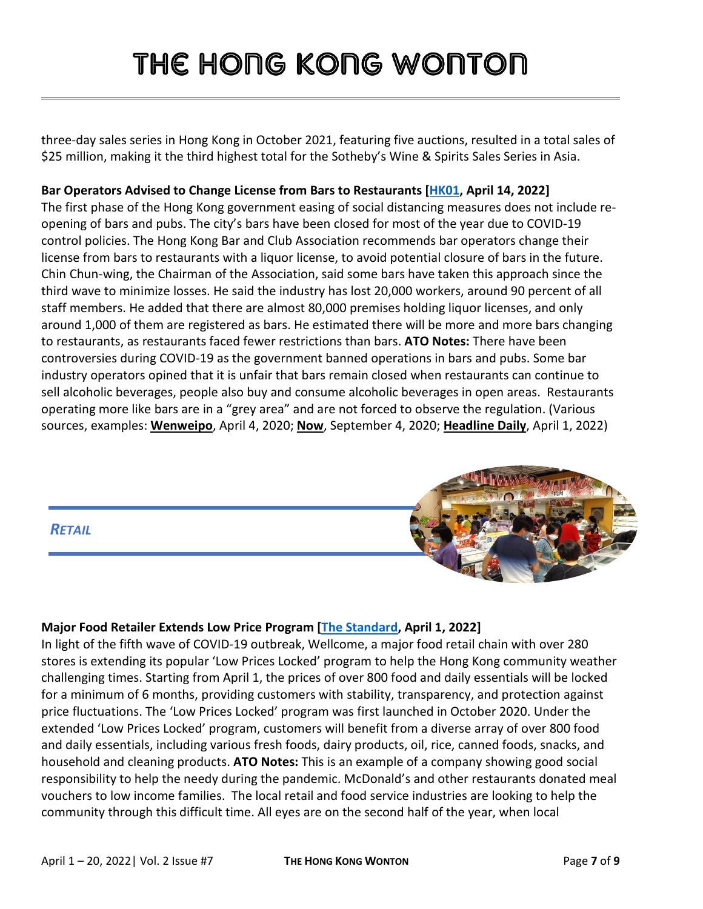three-day sales series in Hong Kong in October 2021, featuring five auctions, resulted in a total sales of \$25 million, making it the third highest total for the Sotheby's Wine & Spirits Sales Series in Asia.

### **Bar Operators Advised to Change License from Bars to Restaurants [\[HK01,](https://www.hk01.com/%E7%A4%BE%E6%9C%83%E6%96%B0%E8%81%9E/759428/%E9%85%92%E5%90%A7%E6%9C%AA%E8%83%BD%E5%BE%A9%E6%A5%AD-%E6%A5%AD%E7%95%8C%E6%96%99%E7%B8%BD%E6%90%8D%E5%A4%B1%E6%95%B8%E5%8D%81%E5%84%84%E5%85%83-%E5%80%A1%E6%94%B9%E9%A0%98%E9%A4%90%E5%BB%B3%E7%89%8C%E7%B6%93%E7%87%9F) April 14, 2022]**

The first phase of the Hong Kong government easing of social distancing measures does not include reopening of bars and pubs. The city's bars have been closed for most of the year due to COVID-19 control policies. The Hong Kong Bar and Club Association recommends bar operators change their license from bars to restaurants with a liquor license, to avoid potential closure of bars in the future. Chin Chun-wing, the Chairman of the Association, said some bars have taken this approach since the third wave to minimize losses. He said the industry has lost 20,000 workers, around 90 percent of all staff members. He added that there are almost 80,000 premises holding liquor licenses, and only around 1,000 of them are registered as bars. He estimated there will be more and more bars changing to restaurants, as restaurants faced fewer restrictions than bars. **ATO Notes:** There have been controversies during COVID-19 as the government banned operations in bars and pubs. Some bar industry operators opined that it is unfair that bars remain closed when restaurants can continue to sell alcoholic beverages, people also buy and consume alcoholic beverages in open areas. Restaurants operating more like bars are in a "grey area" and are not forced to observe the regulation. (Various sources, examples: **[Wenweipo](http://paper.wenweipo.com/2020/04/04/YO2004040001.htm)**, April 4, 2020; **[Now](https://news.now.com/home/local/player?newsId=404293)**, September 4, 2020; **[Headline Daily](https://hd.stheadline.com/news/realtime/hk/2324916/%E5%8D%B3%E6%99%82-%E6%B8%AF%E8%81%9E-%E7%8D%A8%E5%AE%B6-%E7%8A%AF%E8%81%9A-%E9%A3%B2%E9%85%92%E9%96%8B%E9%A4%90%E5%A4%9C%E5%A4%9C%E7%AC%99%E6%AD%8C-%E8%A5%BF%E5%8D%80%E6%B5%B7%E6%BF%B1%E9%95%B7%E5%BB%8A%E8%AE%8A%E7%84%A1%E7%BD%A9%E6%B4%BE%E5%B0%8D%E5%A0%B4)**, April 1, 2022)

#### *RETAIL*



#### **Major Food Retailer Extends Low Price Program [\[The Standard,](https://www.thestandard.com.hk/breaking-news/section/4/188733/Wellcome-extends-its-%E2%80%98Low-Prices-Locked%E2%80%99-programme-in-steadfast-commitment-to-the-community) April 1, 2022]**

In light of the fifth wave of COVID-19 outbreak, Wellcome, a major food retail chain with over 280 stores is extending its popular 'Low Prices Locked' program to help the Hong Kong community weather challenging times. Starting from April 1, the prices of over 800 food and daily essentials will be locked for a minimum of 6 months, providing customers with stability, transparency, and protection against price fluctuations. The 'Low Prices Locked' program was first launched in October 2020. Under the extended 'Low Prices Locked' program, customers will benefit from a diverse array of over 800 food and daily essentials, including various fresh foods, dairy products, oil, rice, canned foods, snacks, and household and cleaning products. **ATO Notes:** This is an example of a company showing good social responsibility to help the needy during the pandemic. McDonald's and other restaurants donated meal vouchers to low income families. The local retail and food service industries are looking to help the community through this difficult time. All eyes are on the second half of the year, when local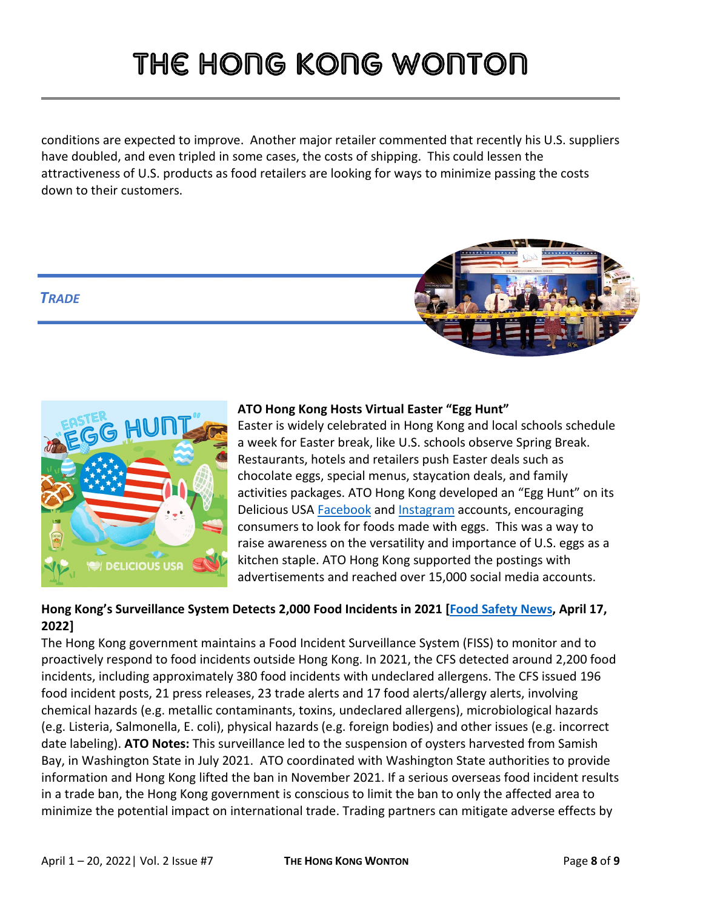conditions are expected to improve. Another major retailer commented that recently his U.S. suppliers have doubled, and even tripled in some cases, the costs of shipping. This could lessen the attractiveness of U.S. products as food retailers are looking for ways to minimize passing the costs down to their customers.

### *TRADE*





#### **ATO Hong Kong Hosts Virtual Easter "Egg Hunt"**

Easter is widely celebrated in Hong Kong and local schools schedule a week for Easter break, like U.S. schools observe Spring Break. Restaurants, hotels and retailers push Easter deals such as chocolate eggs, special menus, staycation deals, and family activities packages. ATO Hong Kong developed an "Egg Hunt" on its Delicious USA [Facebook](https://www.facebook.com/DeliciousUSAHongKongOfficial/photos/3042584645971197/?__cft__%5b0%5d=AZUd1dOa8uTYxdWS-y7mwhW5x0QVxzcMBWmO6CZGxxiZhP6xMlDT-RhzBg_vOUdzMvv690QS5mELlU-tcKd8ZAXKs_gcEqPMjuZIGqlfsKU437yDvs2QEFNEhO1uIAYGslJFjxbRVm8qNJm6KRXG0ZXl7dA6r_n2zZg9M8gh1TDKAOQhq4rNA8CEGeDl1Q2gOM0&__tn__=H-R) and [Instagram](https://www.instagram.com/p/CcSWd31uvRu/) accounts, encouraging consumers to look for foods made with eggs. This was a way to raise awareness on the versatility and importance of U.S. eggs as a kitchen staple. ATO Hong Kong supported the postings with advertisements and reached over 15,000 social media accounts.

### **Hong Kong's Surveillance System Detects 2,000 Food Incidents in 2021 [\[Food Safety News](https://www.foodsafetynews.com/2022/04/hong-kong-surveillance-system-detects-2000-incidents-in-2021/), April 17, 2022]**

The Hong Kong government maintains a Food Incident Surveillance System (FISS) to monitor and to proactively respond to food incidents outside Hong Kong. In 2021, the CFS detected around 2,200 food incidents, including approximately 380 food incidents with undeclared allergens. The CFS issued 196 food incident posts, 21 press releases, 23 trade alerts and 17 food alerts/allergy alerts, involving chemical hazards (e.g. metallic contaminants, toxins, undeclared allergens), microbiological hazards (e.g. Listeria, Salmonella, E. coli), physical hazards (e.g. foreign bodies) and other issues (e.g. incorrect date labeling). **ATO Notes:** This surveillance led to the suspension of oysters harvested from Samish Bay, in Washington State in July 2021. ATO coordinated with Washington State authorities to provide information and Hong Kong lifted the ban in November 2021. If a serious overseas food incident results in a trade ban, the Hong Kong government is conscious to limit the ban to only the affected area to minimize the potential impact on international trade. Trading partners can mitigate adverse effects by